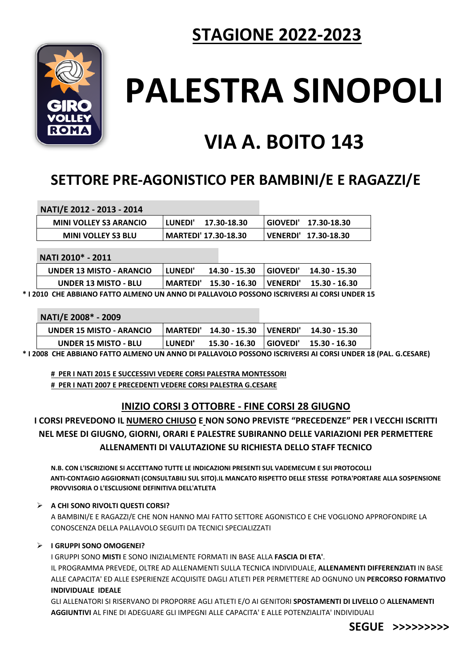## **STAGIONE 2022-2023**



# **PALESTRA SINOPOLI**

# **VIA A. BOITO 143**

### **SETTORE PRE-AGONISTICO PER BAMBINI/E E RAGAZZI/E**

| NATI/E 2012 - 2013 - 2014     |           |                             |                     |
|-------------------------------|-----------|-----------------------------|---------------------|
| <b>MINI VOLLEY S3 ARANCIO</b> | l LUNEDI' | 17.30-18.30                 | GIOVEDI 17.30-18.30 |
| <b>MINI VOLLEY S3 BLU</b>     |           | <b>MARTEDI' 17.30-18.30</b> | VENERDI 17.30-18.30 |

#### **NATI 2010\* - 2011**

| UNDER 13 MISTO - ARANCIO                                                                       | <b>LUNEDI'</b> | 14.30 - 15.30                                   | GIOVEDI' 14.30 - 15.30 |
|------------------------------------------------------------------------------------------------|----------------|-------------------------------------------------|------------------------|
| <b>UNDER 13 MISTO - BLU</b>                                                                    |                | MARTEDI' 15.30 - 16.30   VENERDI' 15.30 - 16.30 |                        |
| L2010. CHE ARRIANIO EATTO ALBAENIO LINI ANNIO DI RALLAVOLO ROCCONO ICCRIVERCI ALCORCLIINIDER 1 |                |                                                 |                        |

**\* I 2010 CHE ABBIANO FATTO ALMENO UN ANNO DI PALLAVOLO POSSONO ISCRIVERSI AI CORSI UNDER 15**

#### **NATI/E 2008\* - 2009**

| <b>UNDER 15 MISTO - ARANCIO</b> |         | MARTEDI' 14.30 - 15.30   VENERDI' 14.30 - 15.30 |  |
|---------------------------------|---------|-------------------------------------------------|--|
| <b>UNDER 15 MISTO - BLU</b>     | LUNEDI' | 15.30 - 16.30 GIOVEDI' 15.30 - 16.30            |  |

**\* I 2008 CHE ABBIANO FATTO ALMENO UN ANNO DI PALLAVOLO POSSONO ISCRIVERSI AI CORSI UNDER 18 (PAL. G.CESARE)**

**# PER I NATI 2015 E SUCCESSIVI VEDERE CORSI PALESTRA MONTESSORI # PER I NATI 2007 E PRECEDENTI VEDERE CORSI PALESTRA G.CESARE**

#### **INIZIO CORSI 3 OTTOBRE - FINE CORSI 28 GIUGNO**

**I CORSI PREVEDONO IL NUMERO CHIUSO E NON SONO PREVISTE "PRECEDENZE" PER I VECCHI ISCRITTI NEL MESE DI GIUGNO, GIORNI, ORARI E PALESTRE SUBIRANNO DELLE VARIAZIONI PER PERMETTERE ALLENAMENTI DI VALUTAZIONE SU RICHIESTA DELLO STAFF TECNICO**

**N.B. CON L'ISCRIZIONE SI ACCETTANO TUTTE LE INDICAZIONI PRESENTI SUL VADEMECUM E SUI PROTOCOLLI ANTI-CONTAGIO AGGIORNATI (CONSULTABILI SUL SITO).IL MANCATO RISPETTO DELLE STESSE POTRA'PORTARE ALLA SOSPENSIONE PROVVISORIA O L'ESCLUSIONE DEFINITIVA DELL'ATLETA**

#### **A CHI SONO RIVOLTI QUESTI CORSI?**

A BAMBINI/E E RAGAZZI/E CHE NON HANNO MAI FATTO SETTORE AGONISTICO E CHE VOGLIONO APPROFONDIRE LA CONOSCENZA DELLA PALLAVOLO SEGUITI DA TECNICI SPECIALIZZATI

#### **I GRUPPI SONO OMOGENEI?**

I GRUPPI SONO **MISTI** E SONO INIZIALMENTE FORMATI IN BASE ALLA **FASCIA DI ETA'**. IL PROGRAMMA PREVEDE, OLTRE AD ALLENAMENTI SULLA TECNICA INDIVIDUALE, **ALLENAMENTI DIFFERENZIATI** IN BASE ALLE CAPACITA' ED ALLE ESPERIENZE ACQUISITE DAGLI ATLETI PER PERMETTERE AD OGNUNO UN **PERCORSO FORMATIVO INDIVIDUALE IDEALE**

GLI ALLENATORI SI RISERVANO DI PROPORRE AGLI ATLETI E/O AI GENITORI **SPOSTAMENTI DI LIVELLO** O **ALLENAMENTI AGGIUNTIVI** AL FINE DI ADEGUARE GLI IMPEGNI ALLE CAPACITA' E ALLE POTENZIALITA' INDIVIDUALI